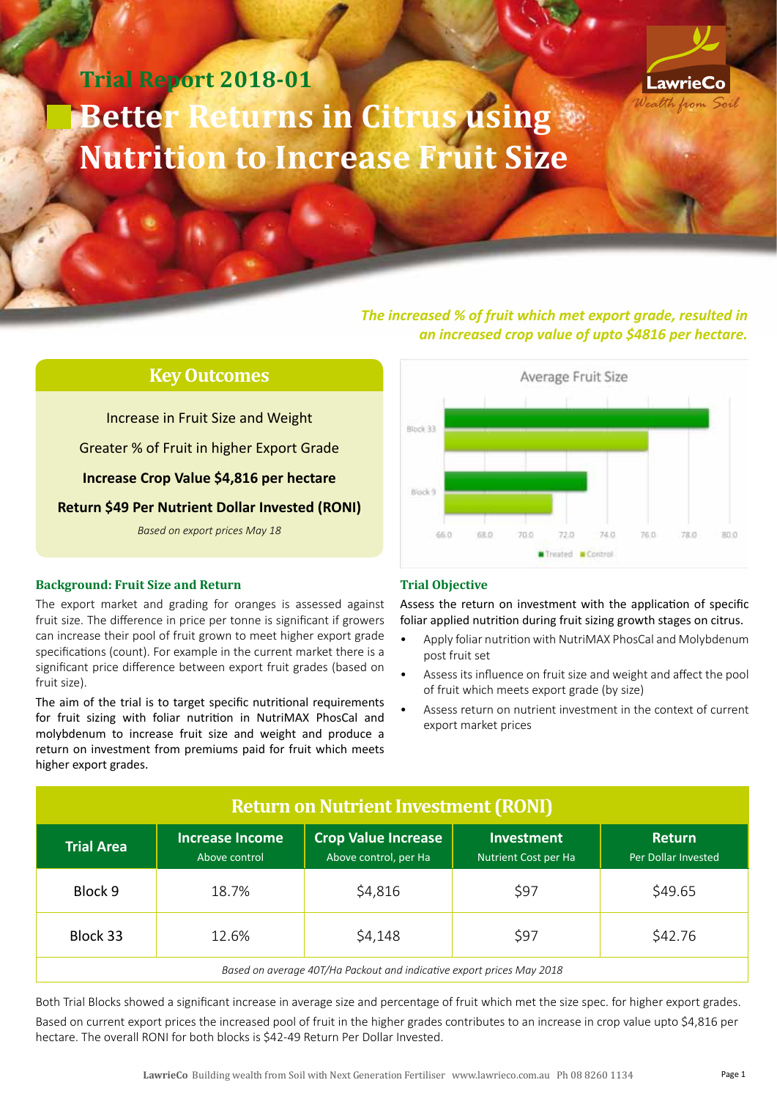# **Trial Report 2018-01 Better Returns in Citrus using**  $\bullet$ **Nutrition to Increase Fruit Size**



*The increased % of fruit which met export grade, resulted in an increased crop value of upto \$4816 per hectare.*

### **Key Outcomes**

Increase in Fruit Size and Weight Greater % of Fruit in higher Export Grade **Increase Crop Value \$4,816 per hectare Return \$49 Per Nutrient Dollar Invested (RONI)** *Based on export prices May 18*

#### **Background: Fruit Size and Return**

The export market and grading for oranges is assessed against fruit size. The difference in price per tonne is significant if growers can increase their pool of fruit grown to meet higher export grade specifications (count). For example in the current market there is a significant price difference between export fruit grades (based on fruit size).

The aim of the trial is to target specific nutritional requirements for fruit sizing with foliar nutrition in NutriMAX PhosCal and molybdenum to increase fruit size and weight and produce a return on investment from premiums paid for fruit which meets higher export grades.



#### **Trial Objective**

Assess the return on investment with the application of specific foliar applied nutrition during fruit sizing growth stages on citrus.

- Apply foliar nutrition with NutriMAX PhosCal and Molybdenum post fruit set
- Assess its influence on fruit size and weight and affect the pool of fruit which meets export grade (by size)
- Assess return on nutrient investment in the context of current export market prices

| <b>Return on Nutrient Investment (RONI)</b>                           |                                         |                                                     |                                                  |                                      |  |
|-----------------------------------------------------------------------|-----------------------------------------|-----------------------------------------------------|--------------------------------------------------|--------------------------------------|--|
| <b>Trial Area</b>                                                     | <b>Increase Income</b><br>Above control | <b>Crop Value Increase</b><br>Above control, per Ha | <b>Investment</b><br><b>Nutrient Cost per Ha</b> | <b>Return</b><br>Per Dollar Invested |  |
| Block 9                                                               | 18.7%                                   | \$4,816                                             | \$97                                             | \$49.65                              |  |
| Block 33                                                              | 12.6%                                   | \$4,148                                             | \$97                                             | \$42.76                              |  |
| Based on average 40T/Ha Packout and indicative export prices May 2018 |                                         |                                                     |                                                  |                                      |  |

Both Trial Blocks showed a significant increase in average size and percentage of fruit which met the size spec. for higher export grades. Based on current export prices the increased pool of fruit in the higher grades contributes to an increase in crop value upto \$4,816 per hectare. The overall RONI for both blocks is \$42-49 Return Per Dollar Invested.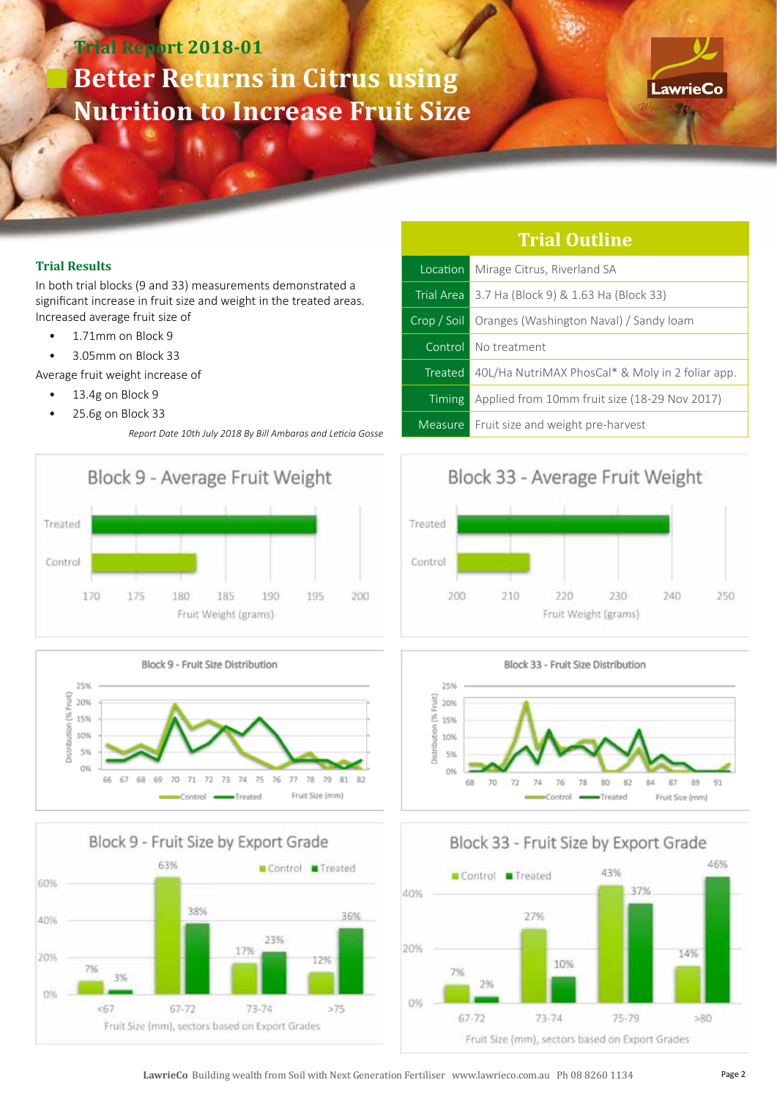# **Trial Report 2018-01 Better Returns in Citrus using Nutrition to Increase Fruit Size**



#### **Trial Results**

In both trial blocks (9 and 33) measurements demonstrated a significant increase in fruit size and weight in the treated areas. Increased average fruit size of

- 1.71mm on Block 9
- 3.05mm on Block 33

Average fruit weight increase of

- 13.4g on Block 9
- 25.6g on Block 33

*Report Date 10th July 2018 By Bill Ambaras and Leticia Gosse*







| Location      | Mirage Citrus, Riverland SA                             |  |  |
|---------------|---------------------------------------------------------|--|--|
|               | <b>Trial Area</b> 3.7 Ha (Block 9) & 1.63 Ha (Block 33) |  |  |
| Crop / Soil   | Oranges (Washington Naval) / Sandy loam                 |  |  |
|               | Control No treatment                                    |  |  |
| Treated       | 40L/Ha NutriMAX PhosCal* & Moly in 2 foliar app.        |  |  |
| <b>Timing</b> | Applied from 10mm fruit size (18-29 Nov 2017)           |  |  |
| Measure       | Fruit size and weight pre-harvest                       |  |  |

**Trial Outline**

### Block 33 - Average Fruit Weight